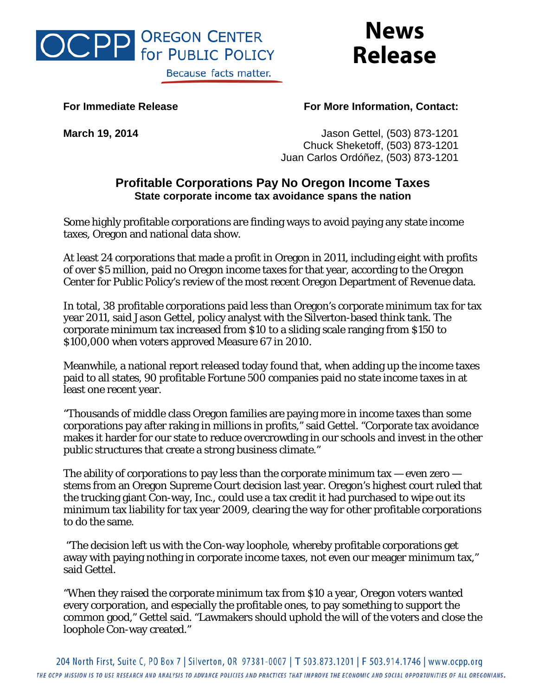

## **News Release**

## **For Immediate Release For More Information, Contact:**

**March 19, 2014** Jason Gettel, (503) 873-1201 Chuck Sheketoff, (503) 873-1201 Juan Carlos Ordóñez, (503) 873-1201

## **Profitable Corporations Pay No Oregon Income Taxes State corporate income tax avoidance spans the nation**

Some highly profitable corporations are finding ways to avoid paying any state income taxes, Oregon and national data show.

At least 24 corporations that made a profit in Oregon in 2011, including eight with profits of over \$5 million, paid no Oregon income taxes for that year, according to the Oregon Center for Public Policy's review of the most recent Oregon Department of Revenue data.

In total, 38 profitable corporations paid less than Oregon's corporate minimum tax for tax year 2011, said Jason Gettel, policy analyst with the Silverton-based think tank. The corporate minimum tax increased from \$10 to a sliding scale ranging from \$150 to \$100,000 when voters approved Measure 67 in 2010.

Meanwhile, a national report released today found that, when adding up the income taxes paid to all states, 90 profitable Fortune 500 companies paid no state income taxes in at least one recent year.

"Thousands of middle class Oregon families are paying more in income taxes than some corporations pay after raking in millions in profits," said Gettel. "Corporate tax avoidance makes it harder for our state to reduce overcrowding in our schools and invest in the other public structures that create a strong business climate."

The ability of corporations to pay less than the corporate minimum tax  $-$  even zero  $$ stems from an Oregon Supreme Court decision last year. Oregon's highest court ruled that the trucking giant Con-way, Inc., could use a tax credit it had purchased to wipe out its minimum tax liability for tax year 2009, clearing the way for other profitable corporations to do the same.

"The decision left us with the Con-way loophole, whereby profitable corporations get away with paying nothing in corporate income taxes, not even our meager minimum tax," said Gettel.

"When they raised the corporate minimum tax from \$10 a year, Oregon voters wanted every corporation, and especially the profitable ones, to pay something to support the common good," Gettel said. "Lawmakers should uphold the will of the voters and close the loophole Con-way created."